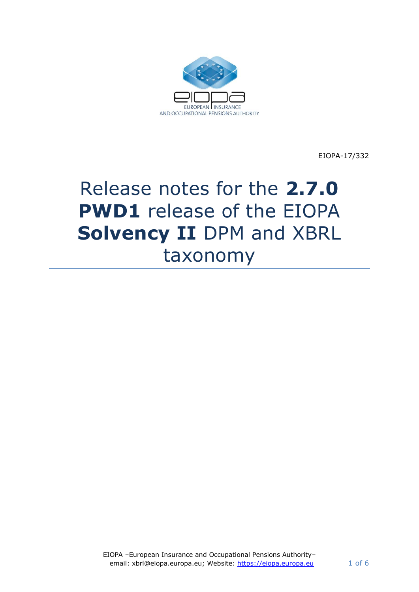

EIOPA-17/332

# Release notes for the **2.7.0 PWD1** release of the EIOPA **Solvency II** DPM and XBRL taxonomy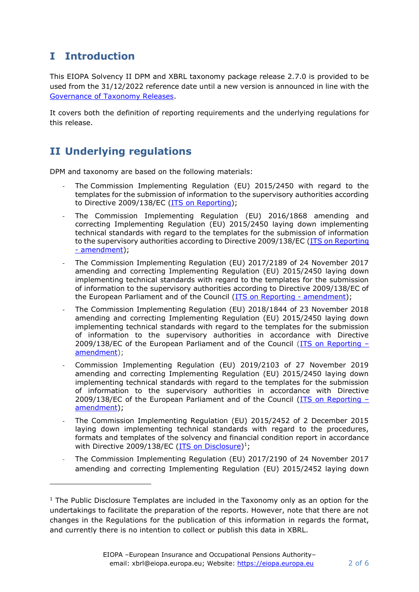## **I Introduction**

This EIOPA Solvency II DPM and XBRL taxonomy package release 2.7.0 is provided to be used from the 31/12/2022 reference date until a new version is announced in line with the [Governance of Taxonomy Releases.](https://dev.eiopa.europa.eu/Taxonomy/Full/2.4.0_PWD/Common/EIOPA_Public_2019_2021_Taxonomy_Governance_and_Schedule.pdf)

It covers both the definition of reporting requirements and the underlying regulations for this release.

# **II Underlying regulations**

DPM and taxonomy are based on the following materials:

- The Commission Implementing Regulation (EU) 2015/2450 with regard to the templates for the submission of information to the supervisory authorities according to Directive 2009/138/EC (ITS [on Reporting\)](https://eur-lex.europa.eu/legal-content/EN/TXT/?uri=CELEX%3A02015R2450-20200607);
- The Commission Implementing Regulation (EU) 2016/1868 amending and correcting Implementing Regulation (EU) 2015/2450 laying down implementing technical standards with regard to the templates for the submission of information to the supervisory authorities according to Directive 2009/138/EC (ITS on Reporting - [amendment\)](http://eur-lex.europa.eu/legal-content/EN/TXT/?qid=1477397733577&uri=CELEX:32016R1868);
- The Commission Implementing Regulation (EU) 2017/2189 of 24 November 2017 amending and correcting Implementing Regulation (EU) 2015/2450 laying down implementing technical standards with regard to the templates for the submission of information to the supervisory authorities according to Directive 2009/138/EC of the European Parliament and of the Council [\(ITS on Reporting -](https://eur-lex.europa.eu/legal-content/EN/TXT/?uri=CELEX%3A32017R2189) amendment);
- The Commission Implementing Regulation (EU) 2018/1844 of 23 November 2018 amending and correcting Implementing Regulation (EU) 2015/2450 laying down implementing technical standards with regard to the templates for the submission of information to the supervisory authorities in accordance with Directive 2009/138/EC of the European Parliament and of the Council [\(ITS on Reporting](https://eur-lex.europa.eu/legal-content/EN/TXT/?uri=uriserv:OJ.L_.2018.299.01.0005.01.ENG&toc=OJ:L:2018:299:TOC) – [amendment\)](https://eur-lex.europa.eu/legal-content/EN/TXT/?uri=uriserv:OJ.L_.2018.299.01.0005.01.ENG&toc=OJ:L:2018:299:TOC);
- Commission Implementing Regulation (EU) 2019/2103 of 27 November 2019 amending and correcting Implementing Regulation (EU) 2015/2450 laying down implementing technical standards with regard to the templates for the submission of information to the supervisory authorities in accordance with Directive 2009/138/EC of the European Parliament and of the Council [\(ITS on Reporting](https://op.europa.eu/en/publication-detail/-/publication/6907206f-1b5b-11ea-8c1f-01aa75ed71a1/language-en/format-HTML/source-118687155) – [amendment\)](https://op.europa.eu/en/publication-detail/-/publication/6907206f-1b5b-11ea-8c1f-01aa75ed71a1/language-en/format-HTML/source-118687155);
- The Commission Implementing Regulation (EU) 2015/2452 of 2 December 2015 laying down implementing technical standards with regard to the procedures, formats and templates of the solvency and financial condition report in accordance with Directive 2009/138/EC [\(ITS on Disclosure\)](https://eur-lex.europa.eu/legal-content/EN/TXT/?uri=CELEX%3A02015R2452-20200101)<sup>1</sup>;
- The Commission Implementing Regulation (EU) 2017/2190 of 24 November 2017 amending and correcting Implementing Regulation (EU) 2015/2452 laying down

<sup>&</sup>lt;sup>1</sup> The Public Disclosure Templates are included in the Taxonomy only as an option for the undertakings to facilitate the preparation of the reports. However, note that there are not changes in the Regulations for the publication of this information in regards the format, and currently there is no intention to collect or publish this data in XBRL.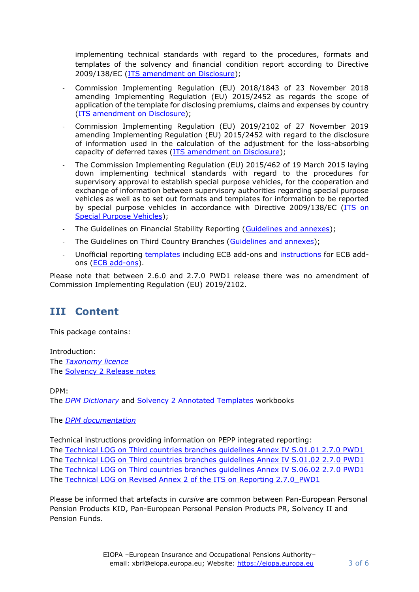implementing technical standards with regard to the procedures, formats and templates of the solvency and financial condition report according to Directive 2009/138/EC [\(ITS amendment on Disclosure\)](https://eur-lex.europa.eu/legal-content/EN/TXT/?uri=uriserv:OJ.L_.2017.310.01.0030.01.ENG&toc=OJ:L:2017:310:TOC);

- Commission Implementing Regulation (EU) 2018/1843 of 23 November 2018 amending Implementing Regulation (EU) 2015/2452 as regards the scope of application of the template for disclosing premiums, claims and expenses by country [\(ITS amendment on Disclosure\)](https://eur-lex.europa.eu/legal-content/EN/TXT/?uri=uriserv:OJ.L_.2018.299.01.0002.01.ENG&toc=OJ:L:2018:299:TOC);
- Commission Implementing Regulation (EU) 2019/2102 of 27 November 2019 amending Implementing Regulation (EU) 2015/2452 with regard to the disclosure of information used in the calculation of the adjustment for the loss-absorbing capacity of deferred taxes [\(ITS amendment on Disclosure\)](https://op.europa.eu/en/publication-detail/-/publication/a2d87fa4-1b5c-11ea-8c1f-01aa75ed71a1/language-en/format-HTML/source-118557433);
- The Commission Implementing Regulation (EU) 2015/462 of 19 March 2015 laying down implementing technical standards with regard to the procedures for supervisory approval to establish special purpose vehicles, for the cooperation and exchange of information between supervisory authorities regarding special purpose vehicles as well as to set out formats and templates for information to be reported by special purpose vehicles in accordance with Directive 2009/138/EC [\(ITS on](https://eur-lex.europa.eu/legal-content/EN/TXT/?uri=CELEX:32015R0462)  [Special Purpose Vehicles\)](https://eur-lex.europa.eu/legal-content/EN/TXT/?uri=CELEX:32015R0462);
- The Guidelines on Financial Stability Reporting [\(Guidelines and annexes\)](https://www.eiopa.europa.eu/content/guidelines-financial-stability-reporting%E2%80%8B_en);
- The Guidelines on Third Country Branches [\(Guidelines and annexes\)](https://www.eiopa.europa.eu/content/guidelines-supervision-branches-third-country-insurance-undertakings_en);
- Unofficial reporting [templates](http://www.ecb.europa.eu/stats/money/icpf/shared/pdf/Unofficial_reporting_templates_including_ECB_add-ons.zip?53c21a93e1c547c19234fc6597460b2a) including ECB add-ons and [instructions](http://www.ecb.europa.eu/stats/money/icpf/shared/pdf/Instructions_for_ECB_add-ons.zip?038fd8a164b62914ac8fb5e560b11b33) for ECB addons [\(ECB add-ons\)](http://www.ecb.europa.eu/stats/financial_corporations/insurance_corporations/html/index.en.html).

Please note that between 2.6.0 and 2.7.0 PWD1 release there was no amendment of Commission Implementing Regulation (EU) 2019/2102.

#### **III Content**

This package contains:

Introduction: The *[Taxonomy licence](https://dev.eiopa.europa.eu/Taxonomy/Full/2.4.0/common/EIOPA_DPM_and_Taxonomy_License.pdf)* The **Solvency 2 Release notes** 

DPM:

The *[DPM Dictionary](https://dev.eiopa.europa.eu/Taxonomy/Full/2.7.0_PWD1/Common/EIOPA_DPM_Dictionary_2.7.0_PWD1.xlsx)* and [Solvency 2 Annotated Templates](https://dev.eiopa.europa.eu/Taxonomy/Full/2.7.0_PWD1/S2/EIOPA_SolvencyII_DPM_Annotated_Templates_2.7.0_PWD1.xlsx) workbooks

The *[DPM documentation](https://dev.eiopa.europa.eu/Taxonomy/Full/2.7.0_PWD1/Common/EIOPA_DPM_Documentation_2.7.0_PWD1.pdf)*

Technical instructions providing information on PEPP integrated reporting:

The [Technical LOG on Third countries branches guidelines Annex IV S.01.01 2.7.0 PWD1](https://dev.eiopa.europa.eu/Taxonomy/Full/2.7.0_PWD1/S2/GL%203CB_Annex%20IV_S_01_01_Technical_LOG%202.7.0_PWD1.pdf) The [Technical LOG on Third countries branches guidelines Annex IV S.01.02](https://dev.eiopa.europa.eu/Taxonomy/Full/2.7.0_PWD1/S2/GL%203CB_Annex%20IV_S_01_02_Technical_LOG%202.7.0_PWD1.pdf) 2.7.0 PWD1 The [Technical LOG on Third countries branches guidelines Annex IV S.06.02](https://dev.eiopa.europa.eu/Taxonomy/Full/2.7.0_PWD1/S2/GL%203CB_Annex%20IV_S_06_02_Technical_LOG%202.7.0_PWD1.pdf) 2.7.0 PWD1 The [Technical LOG on Revised Annex 2 of the ITS on Reporting 2.7.0\\_PWD1](https://dev.eiopa.europa.eu/Taxonomy/Full/2.7.0_PWD1/S2/Revised%20Annex%202%20of%20the%20ITS%20on%20Reporting%20Technical%20LOG%202.7.0_PWD1.pdf)

Please be informed that artefacts in *cursive* are common between Pan-European Personal Pension Products KID, Pan-European Personal Pension Products PR, Solvency II and Pension Funds.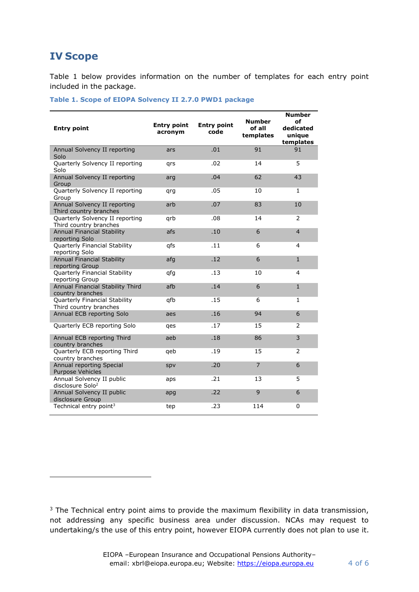#### **IV Scope**

[Table 1](#page-3-0) below provides information on the number of templates for each entry point included in the package.

#### <span id="page-3-0"></span>**Table 1. Scope of EIOPA Solvency II 2.7.0 PWD1 package**

| <b>Entry point</b>                                        | <b>Entry point</b><br>acronym | <b>Entry point</b><br>code | <b>Number</b><br>of all<br>templates | <b>Number</b><br>оf<br>dedicated<br>unique<br>templates |
|-----------------------------------------------------------|-------------------------------|----------------------------|--------------------------------------|---------------------------------------------------------|
| Annual Solvency II reporting<br>Solo                      | ars                           | .01                        | 91                                   | 91                                                      |
| Quarterly Solvency II reporting<br>Solo                   | grs                           | .02                        | 14                                   | 5                                                       |
| Annual Solvency II reporting<br>Group                     | arg                           | .04                        | 62                                   | 43                                                      |
| Quarterly Solvency II reporting<br>Group                  | qrg                           | .05                        | 10                                   | 1                                                       |
| Annual Solvency II reporting<br>Third country branches    | arb                           | .07                        | 83                                   | 10                                                      |
| Quarterly Solvency II reporting<br>Third country branches | qrb                           | .08                        | 14                                   | $\overline{2}$                                          |
| <b>Annual Financial Stability</b><br>reporting Solo       | afs                           | .10                        | 6                                    | $\overline{4}$                                          |
| Quarterly Financial Stability<br>reporting Solo           | qfs                           | .11                        | 6                                    | 4                                                       |
| <b>Annual Financial Stability</b><br>reporting Group      | afg                           | .12                        | 6                                    | $1\,$                                                   |
| Quarterly Financial Stability<br>reporting Group          | qfg                           | .13                        | 10                                   | $\overline{4}$                                          |
| Annual Financial Stability Third<br>country branches      | afb                           | .14                        | 6                                    | $\mathbf{1}$                                            |
| Quarterly Financial Stability<br>Third country branches   | qfb                           | .15                        | 6                                    | $\mathbf{1}$                                            |
| Annual ECB reporting Solo                                 | aes                           | .16                        | 94                                   | $6\phantom{a}$                                          |
| Quarterly ECB reporting Solo                              | qes                           | .17                        | 15                                   | 2                                                       |
| Annual ECB reporting Third<br>country branches            | aeb                           | .18                        | 86                                   | 3                                                       |
| Quarterly ECB reporting Third<br>country branches         | qeb                           | .19                        | 15                                   | $\overline{2}$                                          |
| Annual reporting Special<br>Purpose Vehicles              | spv                           | .20                        | $\overline{7}$                       | 6                                                       |
| Annual Solvency II public<br>disclosure Solo <sup>2</sup> | aps                           | .21                        | 13                                   | 5                                                       |
| Annual Solvency II public<br>disclosure Group             | apg                           | .22                        | 9                                    | 6                                                       |
| Technical entry point <sup>3</sup>                        | tep                           | .23                        | 114                                  | 0                                                       |

 $3$  The Technical entry point aims to provide the maximum flexibility in data transmission, not addressing any specific business area under discussion. NCAs may request to undertaking/s the use of this entry point, however EIOPA currently does not plan to use it.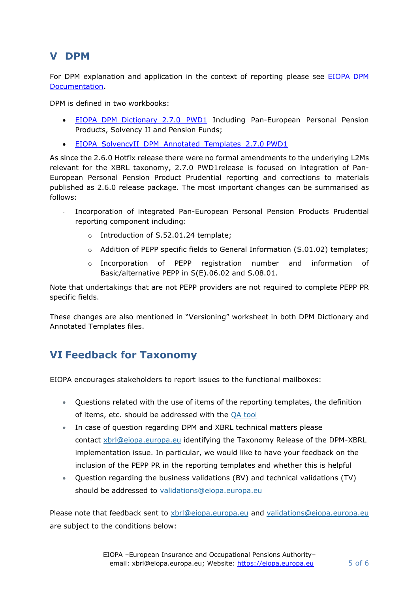#### **V DPM**

For DPM explanation and application in the context of reporting please see [EIOPA DPM](https://dev.eiopa.europa.eu/Taxonomy/Full/2.7.0_PWD1/Common/EIOPA_DPM_Documentation_2.7.0_PWD1.pdf)  [Documentation.](https://dev.eiopa.europa.eu/Taxonomy/Full/2.7.0_PWD1/Common/EIOPA_DPM_Documentation_2.7.0_PWD1.pdf)

DPM is defined in two workbooks:

- EIOPA DPM Dictionary 2.7.0 PWD1 Including Pan-European Personal Pension Products, Solvency II and Pension Funds;
- EIOPA SolvencyII DPM Annotated Templates 2.7.0 PWD1

As since the 2.6.0 Hotfix release there were no formal amendments to the underlying L2Ms relevant for the XBRL taxonomy, 2.7.0 PWD1release is focused on integration of Pan-European Personal Pension Product Prudential reporting and corrections to materials published as 2.6.0 release package. The most important changes can be summarised as follows:

- Incorporation of integrated Pan-European Personal Pension Products Prudential reporting component including:
	- o Introduction of S.52.01.24 template;
	- o Addition of PEPP specific fields to General Information (S.01.02) templates;
	- o Incorporation of PEPP registration number and information of Basic/alternative PEPP in S(E).06.02 and S.08.01.

Note that undertakings that are not PEPP providers are not required to complete PEPP PR specific fields.

These changes are also mentioned in "Versioning" worksheet in both DPM Dictionary and Annotated Templates files.

# **VI Feedback for Taxonomy**

EIOPA encourages stakeholders to report issues to the functional mailboxes:

- Questions related with the use of items of the reporting templates, the definition of items, etc. should be addressed with the [QA tool](https://eiopa.europa.eu/regulation-supervision/q-a-on-regulation)
- In case of question regarding DPM and XBRL technical matters please contact [xbrl@eiopa.europa.eu](mailto:xbrl@eiopa.europa.eu) identifying the Taxonomy Release of the DPM-XBRL implementation issue. In particular, we would like to have your feedback on the inclusion of the PEPP PR in the reporting templates and whether this is helpful
- Question regarding the business validations (BV) and technical validations (TV) should be addressed to [validations@eiopa.europa.eu](mailto:validations@eiopa.europa.eu)

Please note that feedback sent to [xbrl@eiopa.europa.eu](mailto:xbrl@eiopa.europa.eu) and [validations@eiopa.europa.eu](mailto:validations@eiopa.europa.eu) are subject to the conditions below: